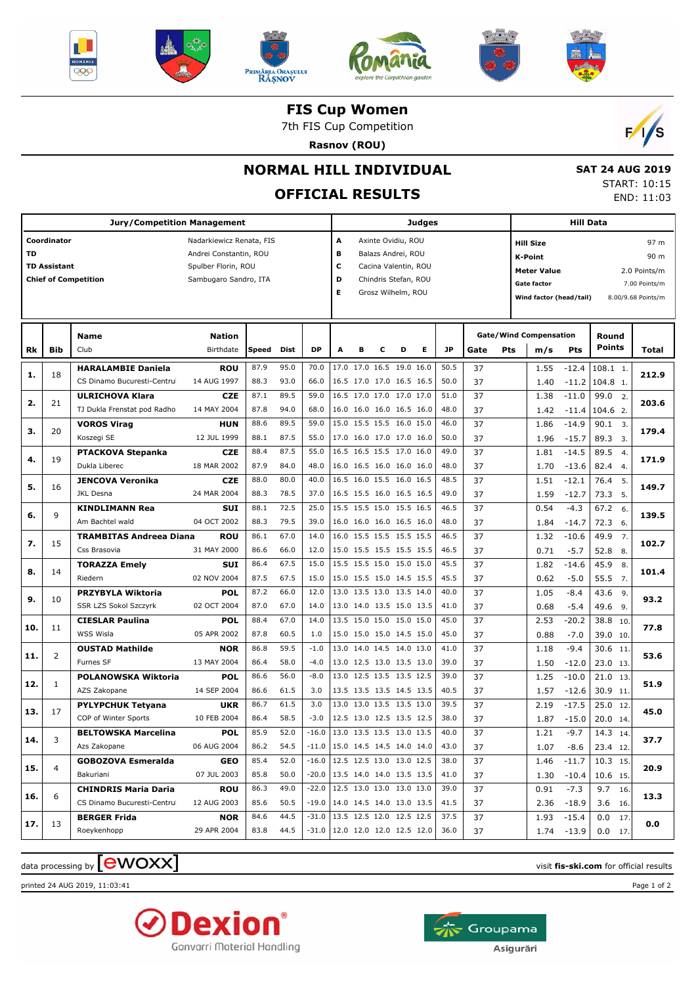











**FIS Cup Women**

7th FIS Cup Competition

**Rasnov (ROU)**



 **SAT 24 AUG 2019** START: 10:15 END: 11:03

## **NORMAL HILL INDIVIDUAL**

# **OFFICIAL RESULTS**

|     |                                    | <b>Jury/Competition Management</b>                        |                                                                                                    |              |              |                                                                          |                          |   |   |                                                                                                                | <b>Judges</b> |                                                   |          |            |                                                                                                                                                                                                                                                                                                                                                                                                                                                                                                                 | <b>Hill Data</b>         |                        |                                                                     |       |
|-----|------------------------------------|-----------------------------------------------------------|----------------------------------------------------------------------------------------------------|--------------|--------------|--------------------------------------------------------------------------|--------------------------|---|---|----------------------------------------------------------------------------------------------------------------|---------------|---------------------------------------------------|----------|------------|-----------------------------------------------------------------------------------------------------------------------------------------------------------------------------------------------------------------------------------------------------------------------------------------------------------------------------------------------------------------------------------------------------------------------------------------------------------------------------------------------------------------|--------------------------|------------------------|---------------------------------------------------------------------|-------|
| TD  | Coordinator<br><b>TD Assistant</b> | <b>Chief of Competition</b>                               | Nadarkiewicz Renata, FIS<br>Andrei Constantin, ROU<br>Spulber Florin, ROU<br>Sambugaro Sandro, ITA |              |              |                                                                          | А<br>в<br>c<br>D<br>Е    |   |   | Axinte Ovidiu, ROU<br>Balazs Andrei, ROU<br>Cacina Valentin, ROU<br>Chindris Stefan, ROU<br>Grosz Wilhelm, ROU |               |                                                   |          |            | <b>Hill Size</b><br><b>K-Point</b>                                                                                                                                                                                                                                                                                                                                                                                                                                                                              |                          |                        | 97 m<br>90 m<br>2.0 Points/m<br>7.00 Points/m<br>8.00/9.68 Points/m |       |
| Rk  | Bib                                | Name<br>Club                                              | <b>Nation</b><br>Birthdate                                                                         | <b>Speed</b> | Dist         | <b>DP</b>                                                                | A                        | в | c | D                                                                                                              | Е             | <b>JP</b>                                         | Gate     | <b>Pts</b> | <b>Meter Value</b><br><b>Gate factor</b><br>Wind factor (head/tail)<br><b>Gate/Wind Compensation</b><br>m/s<br><b>Pts</b><br>$-12.4$<br>1.55<br>1.40<br>$-11.2$<br>1.38<br>$-11.0$<br>1.42<br>$-11.4$<br>1.86<br>$-14.9$<br>$-15.7$<br>1.96<br>1.81<br>$-14.5$<br>1.70<br>$-13.6$<br>$-12.1$<br>1.51<br>1.59<br>$-12.7$<br>0.54<br>$-4.3$<br>1.84<br>$-14.7$<br>1.32<br>$-10.6$<br>0.71<br>$-5.7$<br>1.82<br>$-14.6$<br>0.62<br>$-5.0$<br>1.05<br>$-8.4$<br>0.68<br>$-5.4$<br>2.53<br>$-20.2$<br>0.88<br>$-7.0$ |                          | Round<br><b>Points</b> |                                                                     | Total |
| 1.  | 18                                 | <b>HARALAMBIE Daniela</b><br>CS Dinamo Bucuresti-Centru   | <b>ROU</b><br>14 AUG 1997                                                                          | 87.9<br>88.3 | 95.0<br>93.0 | 70.0<br>66.0                                                             |                          |   |   | 17.0 17.0 16.5 19.0 16.0<br>16.5 17.0 17.0 16.5 16.5                                                           |               | 50.5<br>50.0                                      | 37<br>37 |            |                                                                                                                                                                                                                                                                                                                                                                                                                                                                                                                 |                          | 108.1 1.<br>104.8 1.   |                                                                     | 212.9 |
| 2.  | 21                                 | <b>ULRICHOVA Klara</b><br>TJ Dukla Frenstat pod Radho     | <b>CZE</b><br>14 MAY 2004                                                                          | 87.1<br>87.8 | 89.5<br>94.0 | 59.0<br>68.0                                                             |                          |   |   | 16.5 17.0 17.0 17.0 17.0<br>16.0 16.0 16.0 16.5 16.0                                                           |               | 51.0<br>48.0                                      | 37<br>37 |            |                                                                                                                                                                                                                                                                                                                                                                                                                                                                                                                 |                          | 99.0<br>104.6 2.       | $\overline{2}$ .                                                    | 203.6 |
| з.  | 20                                 | <b>VOROS Virag</b><br>Koszegi SE                          | <b>HUN</b><br>12 JUL 1999                                                                          | 88.6<br>88.1 | 89.5<br>87.5 | 59.0<br>55.0                                                             |                          |   |   | 15.0 15.5 15.5 16.0 15.0<br>17.0 16.0 17.0 17.0 16.0                                                           |               | 46.0<br>50.0                                      | 37<br>37 |            |                                                                                                                                                                                                                                                                                                                                                                                                                                                                                                                 |                          | 90.1<br>89.3           | $\overline{3}$ .<br>3.                                              | 179.4 |
| 4.  | 19                                 | PTACKOVA Stepanka<br>Dukla Liberec                        | <b>CZE</b><br>18 MAR 2002                                                                          | 88.4<br>87.9 | 87.5<br>84.0 | 55.0<br>48.0                                                             |                          |   |   | 16.5 16.5 15.5 17.0 16.0<br>16.0 16.5 16.0 16.0 16.0                                                           |               | 49.0<br>48.0                                      | 37<br>37 |            |                                                                                                                                                                                                                                                                                                                                                                                                                                                                                                                 |                          | 89.5<br>82.4           | $\overline{4}$<br>4.                                                | 171.9 |
| 5.  | 16                                 | <b>JENCOVA Veronika</b><br><b>JKL Desna</b>               | <b>CZE</b><br>24 MAR 2004                                                                          | 88.0<br>88.3 | 80.0<br>78.5 | 40.0<br>37.0                                                             |                          |   |   | 16.5 16.0 15.5 16.0 16.5<br>16.5 15.5 16.0 16.5 16.5                                                           |               | 48.5<br>49.0                                      | 37<br>37 |            |                                                                                                                                                                                                                                                                                                                                                                                                                                                                                                                 |                          | 76.4<br>73.3           | 5.<br>5.                                                            | 149.7 |
| 6.  | 9                                  | <b>KINDLIMANN Rea</b><br>Am Bachtel wald                  | <b>SUI</b><br>04 OCT 2002                                                                          | 88.1<br>88.3 | 72.5<br>79.5 | 25.0<br>39.0                                                             |                          |   |   | 15.5 15.5 15.0 15.5 16.5<br>16.0 16.0 16.0 16.5 16.0                                                           |               | 46.5<br>48.0                                      | 37<br>37 |            |                                                                                                                                                                                                                                                                                                                                                                                                                                                                                                                 |                          | 67.2<br>72.3           | 6.<br>6.                                                            | 139.5 |
| 7.  | 15                                 | <b>TRAMBITAS Andreea Diana</b><br>Css Brasovia            | <b>ROU</b><br>31 MAY 2000                                                                          | 86.1<br>86.6 | 67.0<br>66.0 | 14.0<br>12.0                                                             |                          |   |   | 16.0 15.5 15.5 15.5 15.5<br>15.0 15.5 15.5 15.5 15.5                                                           |               | 46.5<br>46.5                                      | 37<br>37 |            |                                                                                                                                                                                                                                                                                                                                                                                                                                                                                                                 |                          | 49.9<br>52.8           | 7.<br>8.                                                            | 102.7 |
| 8.  | 14                                 | <b>TORAZZA Emely</b><br>Riedern                           | <b>SUI</b><br>02 NOV 2004                                                                          | 86.4<br>87.5 | 67.5<br>67.5 | 15.0<br>15.0                                                             |                          |   |   | 15.5 15.5 15.0 15.0 15.0<br>15.0 15.5 15.0 14.5 15.5                                                           |               | 45.5<br>45.5                                      | 37<br>37 |            |                                                                                                                                                                                                                                                                                                                                                                                                                                                                                                                 |                          | 45.9<br>55.5           | 8.<br>7.                                                            | 101.4 |
| 9.  | 10                                 | <b>PRZYBYLA Wiktoria</b><br>SSR LZS Sokol Szczyrk         | <b>POL</b><br>02 OCT 2004                                                                          | 87.2<br>87.0 | 66.0<br>67.0 | 12.0<br>14.0                                                             |                          |   |   | 13.0 13.5 13.0 13.5 14.0<br>13.0 14.0 13.5 15.0 13.5                                                           |               | 40.0<br>41.0                                      | 37<br>37 |            |                                                                                                                                                                                                                                                                                                                                                                                                                                                                                                                 |                          | 43.6<br>49.6           | 9.<br>9.                                                            | 93.2  |
| 10. | 11                                 | <b>CIESLAR Paulina</b><br>WSS Wisla                       | <b>POL</b><br>05 APR 2002                                                                          | 88.4<br>87.8 | 67.0<br>60.5 | 14.0<br>1.0                                                              |                          |   |   | 13.5 15.0 15.0 15.0 15.0<br>15.0 15.0 15.0 14.5 15.0                                                           |               | 45.0<br>45.0                                      | 37<br>37 |            |                                                                                                                                                                                                                                                                                                                                                                                                                                                                                                                 |                          | 38.8<br>39.0 10.       | 10.                                                                 | 77.8  |
| 11. | 2                                  | <b>OUSTAD Mathilde</b><br>Furnes SF                       | <b>NOR</b><br>13 MAY 2004                                                                          | 86.8<br>86.4 | 59.5<br>58.0 | $-1.0$<br>$-4.0$                                                         |                          |   |   | 13.0 14.0 14.5 14.0 13.0<br>13.0 12.5 13.0 13.5 13.0                                                           |               | 41.0<br>39.0                                      | 37<br>37 |            | 1.18<br>1.50                                                                                                                                                                                                                                                                                                                                                                                                                                                                                                    | $-9.4$<br>$-12.0$        | 30.6<br>23.0 13.       | 11.                                                                 | 53.6  |
| 12. | 1                                  | POLANOWSKA Wiktoria<br>AZS Zakopane                       | <b>POL</b><br>14 SEP 2004                                                                          | 86.6<br>86.6 | 56.0<br>61.5 | $-8.0$<br>3.0                                                            |                          |   |   | 13.0 12.5 13.5 13.5 12.5<br>13.5 13.5 13.5 14.5 13.5                                                           |               | 39.0<br>40.5                                      | 37<br>37 |            | 1.25<br>1.57                                                                                                                                                                                                                                                                                                                                                                                                                                                                                                    | $-10.0$<br>$-12.6$       | 21.0<br>30.9 11.       | 13.                                                                 | 51.9  |
| 13. | 17                                 | <b>PYLYPCHUK Tetyana</b><br>COP of Winter Sports          | <b>UKR</b><br>10 FEB 2004                                                                          | 86.7<br>86.4 | 61.5<br>58.5 | 3.0<br>$-3.0$                                                            |                          |   |   | 13.0 13.0 13.5 13.5 13.0<br>12.5 13.0 12.5 13.5 12.5                                                           |               | 39.5<br>38.0                                      | 37<br>37 |            | 2.19<br>1.87                                                                                                                                                                                                                                                                                                                                                                                                                                                                                                    | $-17.5$<br>$-15.0$       | 25.0<br>20.0 14.       | 12.                                                                 | 45.0  |
| 14. | 3                                  | <b>BELTOWSKA Marcelina</b><br>Azs Zakopane                | <b>POL</b><br>06 AUG 2004                                                                          | 85.9<br>86.2 | 52.0<br>54.5 | $-16.0$<br>$-11.0$   15.0 14.5 14.5 14.0 14.0                            | 13.0 13.5 13.5 13.0 13.5 |   |   |                                                                                                                |               | 40.0<br>43.0                                      | 37<br>37 |            | 1.21<br>1.07                                                                                                                                                                                                                                                                                                                                                                                                                                                                                                    | $-9.7$<br>-8.6           | 14.3<br>23.4 12.       | 14.                                                                 | 37.7  |
| 15. | 4                                  | <b>GOBOZOVA Esmeralda</b><br>Bakuriani                    | <b>GEO</b><br>07 JUL 2003                                                                          | 85.4<br>85.8 | 52.0<br>50.0 | $-16.0$   12.5 12.5 13.0 13.0 12.5<br>$-20.0$   13.5 14.0 14.0 13.5 13.5 |                          |   |   |                                                                                                                |               | 38.0<br>41.0                                      | 37<br>37 |            | 1.46<br>1.30                                                                                                                                                                                                                                                                                                                                                                                                                                                                                                    | $-11.7$<br>-10.4         | 10.3 15.<br>10.6 15.   |                                                                     | 20.9  |
| 16. | 6                                  | <b>CHINDRIS Maria Daria</b><br>CS Dinamo Bucuresti-Centru | <b>ROU</b><br>12 AUG 2003                                                                          | 86.3<br>85.6 | 49.0<br>50.5 | -22.0<br>$-19.0$   14.0 14.5 14.0 13.0 13.5                              | 12.5 13.0 13.0 13.0 13.0 |   |   |                                                                                                                |               | 39.0<br>41.5                                      | 37<br>37 |            | 0.91                                                                                                                                                                                                                                                                                                                                                                                                                                                                                                            | $-7.3$<br>$2.36 - 18.9$  | 9.7<br>3.6 16.         | 16.                                                                 | 13.3  |
| 17. | 13                                 | <b>BERGER Frida</b><br>Roeykenhopp                        | <b>NOR</b><br>29 APR 2004                                                                          | 84.6<br>83.8 | 44.5<br>44.5 | $-31.0$   13.5 12.5 12.0 12.5 12.5                                       |                          |   |   |                                                                                                                |               | 37.5<br>$-31.0$   12.0 12.0 12.0 12.5 12.0   36.0 | 37<br>37 |            | 1.93                                                                                                                                                                                                                                                                                                                                                                                                                                                                                                            | $-15.4$<br>$1.74 - 13.9$ | 0.0<br>$0.0$ 17.       | 17.                                                                 | 0.0   |

### $\frac{1}{2}$  data processing by  $\boxed{\text{ewOX}}$

printed 24 AUG 2019, 11:03:41 Page 1 of 2